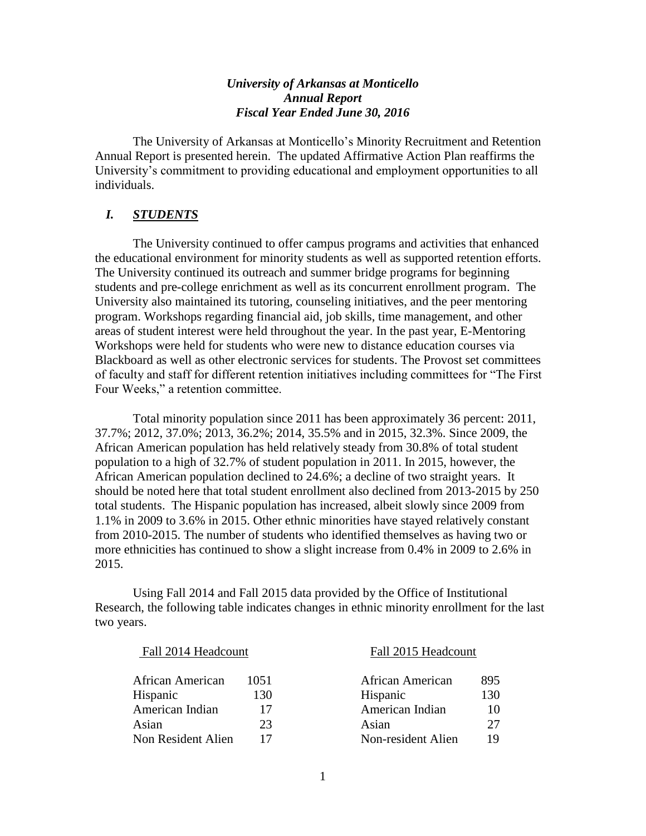# *University of Arkansas at Monticello Annual Report Fiscal Year Ended June 30, 2016*

The University of Arkansas at Monticello's Minority Recruitment and Retention Annual Report is presented herein. The updated Affirmative Action Plan reaffirms the University's commitment to providing educational and employment opportunities to all individuals.

## *I. STUDENTS*

The University continued to offer campus programs and activities that enhanced the educational environment for minority students as well as supported retention efforts. The University continued its outreach and summer bridge programs for beginning students and pre-college enrichment as well as its concurrent enrollment program. The University also maintained its tutoring, counseling initiatives, and the peer mentoring program. Workshops regarding financial aid, job skills, time management, and other areas of student interest were held throughout the year. In the past year, E-Mentoring Workshops were held for students who were new to distance education courses via Blackboard as well as other electronic services for students. The Provost set committees of faculty and staff for different retention initiatives including committees for "The First Four Weeks," a retention committee.

Total minority population since 2011 has been approximately 36 percent: 2011, 37.7%; 2012, 37.0%; 2013, 36.2%; 2014, 35.5% and in 2015, 32.3%. Since 2009, the African American population has held relatively steady from 30.8% of total student population to a high of 32.7% of student population in 2011. In 2015, however, the African American population declined to 24.6%; a decline of two straight years. It should be noted here that total student enrollment also declined from 2013-2015 by 250 total students. The Hispanic population has increased, albeit slowly since 2009 from 1.1% in 2009 to 3.6% in 2015. Other ethnic minorities have stayed relatively constant from 2010-2015. The number of students who identified themselves as having two or more ethnicities has continued to show a slight increase from 0.4% in 2009 to 2.6% in 2015.

Using Fall 2014 and Fall 2015 data provided by the Office of Institutional Research, the following table indicates changes in ethnic minority enrollment for the last two years.

Fall 2014 Headcount Fall 2015 Headcount

| ican American    | 1051 |
|------------------|------|
| panic            | 130  |
| erican Indian    | 17   |
| an               | 23   |
| n Resident Alien |      |

| African American   | 1051 | African American   | 895 |
|--------------------|------|--------------------|-----|
| Hispanic           | 130  | Hispanic           | 130 |
| American Indian    |      | American Indian    | 10  |
| Asian              | 23   | Asian              | 27  |
| Non Resident Alien |      | Non-resident Alien | 19  |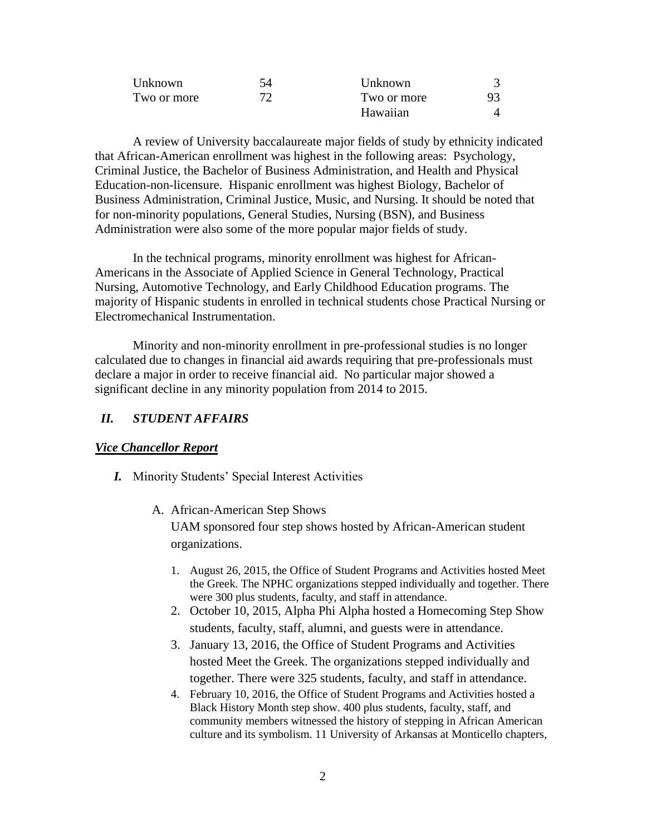| Unknown     | 54  | Unknown     |    |
|-------------|-----|-------------|----|
| Two or more | 72. | Two or more | 93 |
|             |     | Hawaiian    |    |

A review of University baccalaureate major fields of study by ethnicity indicated that African-American enrollment was highest in the following areas: Psychology, Criminal Justice, the Bachelor of Business Administration, and Health and Physical Education-non-licensure. Hispanic enrollment was highest Biology, Bachelor of Business Administration, Criminal Justice, Music, and Nursing. It should be noted that for non-minority populations, General Studies, Nursing (BSN), and Business Administration were also some of the more popular major fields of study.

In the technical programs, minority enrollment was highest for African-Americans in the Associate of Applied Science in General Technology, Practical Nursing, Automotive Technology, and Early Childhood Education programs. The majority of Hispanic students in enrolled in technical students chose Practical Nursing or Electromechanical Instrumentation.

Minority and non-minority enrollment in pre-professional studies is no longer calculated due to changes in financial aid awards requiring that pre-professionals must declare a major in order to receive financial aid. No particular major showed a significant decline in any minority population from 2014 to 2015.

## *II. STUDENT AFFAIRS*

#### *Vice Chancellor Report*

- *I.* Minority Students' Special Interest Activities
	- A. African-American Step Shows UAM sponsored four step shows hosted by African-American student organizations.
		- 1. August 26, 2015, the Office of Student Programs and Activities hosted Meet the Greek. The NPHC organizations stepped individually and together. There were 300 plus students, faculty, and staff in attendance.
		- 2. October 10, 2015, Alpha Phi Alpha hosted a Homecoming Step Show students, faculty, staff, alumni, and guests were in attendance.
		- 3. January 13, 2016, the Office of Student Programs and Activities hosted Meet the Greek. The organizations stepped individually and together. There were 325 students, faculty, and staff in attendance.
		- 4. February 10, 2016, the Office of Student Programs and Activities hosted a Black History Month step show. 400 plus students, faculty, staff, and community members witnessed the history of stepping in African American culture and its symbolism. 11 University of Arkansas at Monticello chapters,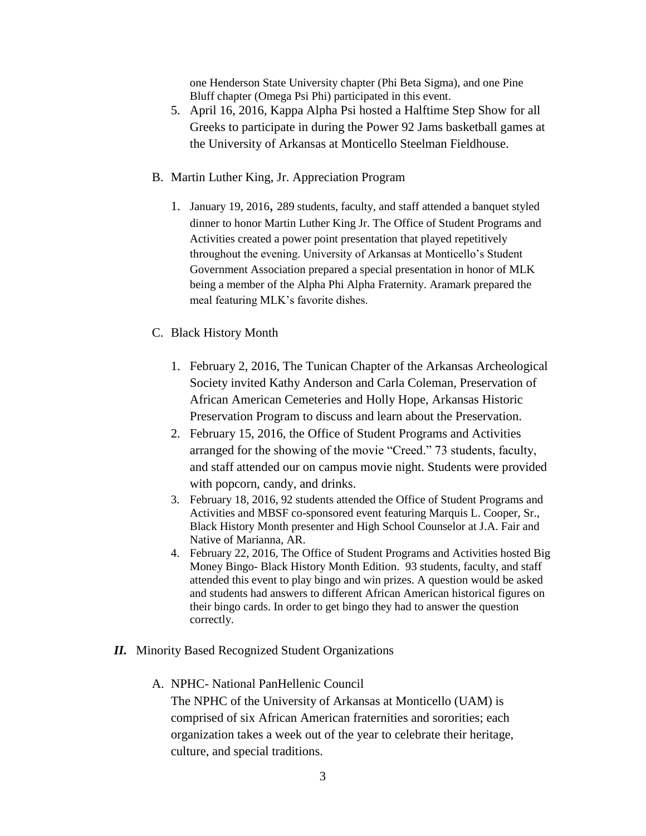one Henderson State University chapter (Phi Beta Sigma), and one Pine Bluff chapter (Omega Psi Phi) participated in this event.

- 5. April 16, 2016, Kappa Alpha Psi hosted a Halftime Step Show for all Greeks to participate in during the Power 92 Jams basketball games at the University of Arkansas at Monticello Steelman Fieldhouse.
- B. Martin Luther King, Jr. Appreciation Program
	- 1. January 19, 2016, 289 students, faculty, and staff attended a banquet styled dinner to honor Martin Luther King Jr. The Office of Student Programs and Activities created a power point presentation that played repetitively throughout the evening. University of Arkansas at Monticello's Student Government Association prepared a special presentation in honor of MLK being a member of the Alpha Phi Alpha Fraternity. Aramark prepared the meal featuring MLK's favorite dishes.
- C. Black History Month
	- 1. February 2, 2016, The Tunican Chapter of the Arkansas Archeological Society invited Kathy Anderson and Carla Coleman, Preservation of African American Cemeteries and Holly Hope, Arkansas Historic Preservation Program to discuss and learn about the Preservation.
	- 2. February 15, 2016, the Office of Student Programs and Activities arranged for the showing of the movie "Creed." 73 students, faculty, and staff attended our on campus movie night. Students were provided with popcorn, candy, and drinks.
	- 3. February 18, 2016, 92 students attended the Office of Student Programs and Activities and MBSF co-sponsored event featuring Marquis L. Cooper, Sr., Black History Month presenter and High School Counselor at J.A. Fair and Native of Marianna, AR.
	- 4. February 22, 2016, The Office of Student Programs and Activities hosted Big Money Bingo- Black History Month Edition. 93 students, faculty, and staff attended this event to play bingo and win prizes. A question would be asked and students had answers to different African American historical figures on their bingo cards. In order to get bingo they had to answer the question correctly.
- *II.* Minority Based Recognized Student Organizations
	- A. NPHC- National PanHellenic Council

The NPHC of the University of Arkansas at Monticello (UAM) is comprised of six African American fraternities and sororities; each organization takes a week out of the year to celebrate their heritage, culture, and special traditions.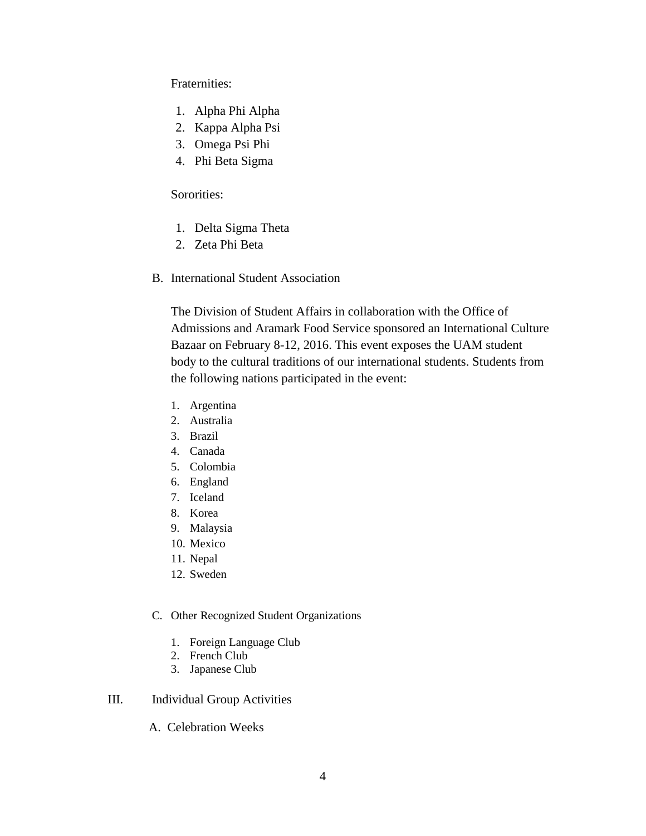# Fraternities:

- 1. Alpha Phi Alpha
- 2. Kappa Alpha Psi
- 3. Omega Psi Phi
- 4. Phi Beta Sigma

# Sororities:

- 1. Delta Sigma Theta
- 2. Zeta Phi Beta
- B. International Student Association

The Division of Student Affairs in collaboration with the Office of Admissions and Aramark Food Service sponsored an International Culture Bazaar on February 8-12, 2016. This event exposes the UAM student body to the cultural traditions of our international students. Students from the following nations participated in the event:

- 1. Argentina
- 2. Australia
- 3. Brazil
- 4. Canada
- 5. Colombia
- 6. England
- 7. Iceland
- 8. Korea
- 9. Malaysia
- 10. Mexico
- 11. Nepal
- 12. Sweden

## C. Other Recognized Student Organizations

- 1. Foreign Language Club
- 2. French Club
- 3. Japanese Club

#### III. Individual Group Activities

A. Celebration Weeks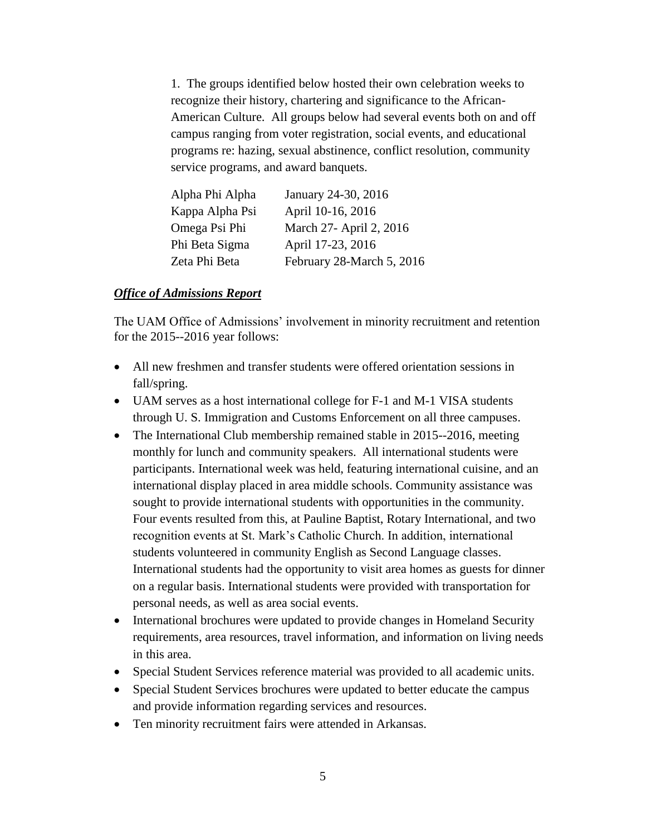1. The groups identified below hosted their own celebration weeks to recognize their history, chartering and significance to the African-American Culture. All groups below had several events both on and off campus ranging from voter registration, social events, and educational programs re: hazing, sexual abstinence, conflict resolution, community service programs, and award banquets.

| Alpha Phi Alpha | January 24-30, 2016       |
|-----------------|---------------------------|
| Kappa Alpha Psi | April 10-16, 2016         |
| Omega Psi Phi   | March 27- April 2, 2016   |
| Phi Beta Sigma  | April 17-23, 2016         |
| Zeta Phi Beta   | February 28-March 5, 2016 |

## *Office of Admissions Report*

The UAM Office of Admissions' involvement in minority recruitment and retention for the 2015--2016 year follows:

- All new freshmen and transfer students were offered orientation sessions in fall/spring.
- UAM serves as a host international college for F-1 and M-1 VISA students through U. S. Immigration and Customs Enforcement on all three campuses.
- The International Club membership remained stable in 2015--2016, meeting monthly for lunch and community speakers. All international students were participants. International week was held, featuring international cuisine, and an international display placed in area middle schools. Community assistance was sought to provide international students with opportunities in the community. Four events resulted from this, at Pauline Baptist, Rotary International, and two recognition events at St. Mark's Catholic Church. In addition, international students volunteered in community English as Second Language classes. International students had the opportunity to visit area homes as guests for dinner on a regular basis. International students were provided with transportation for personal needs, as well as area social events.
- International brochures were updated to provide changes in Homeland Security requirements, area resources, travel information, and information on living needs in this area.
- Special Student Services reference material was provided to all academic units.
- Special Student Services brochures were updated to better educate the campus and provide information regarding services and resources.
- Ten minority recruitment fairs were attended in Arkansas.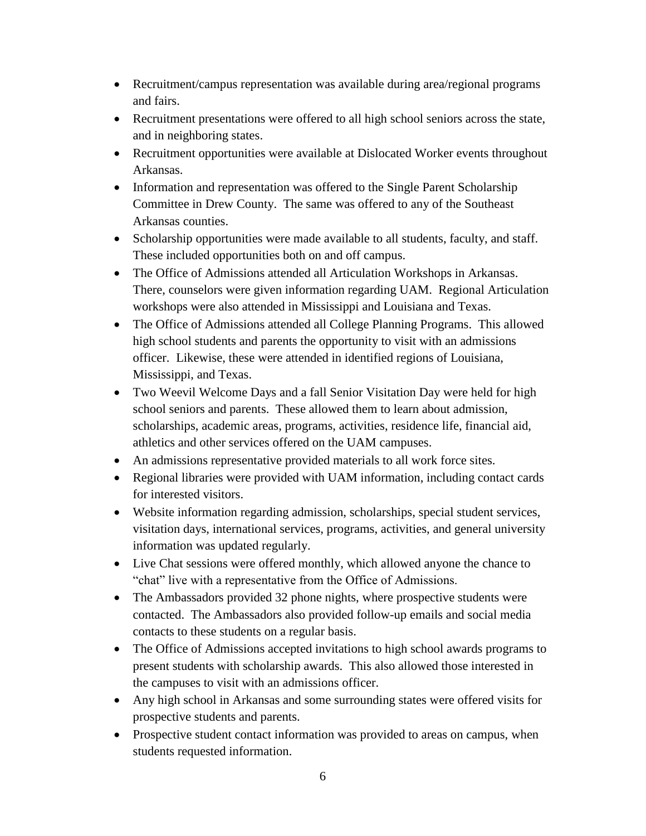- Recruitment/campus representation was available during area/regional programs and fairs.
- Recruitment presentations were offered to all high school seniors across the state, and in neighboring states.
- Recruitment opportunities were available at Dislocated Worker events throughout Arkansas.
- Information and representation was offered to the Single Parent Scholarship Committee in Drew County. The same was offered to any of the Southeast Arkansas counties.
- Scholarship opportunities were made available to all students, faculty, and staff. These included opportunities both on and off campus.
- The Office of Admissions attended all Articulation Workshops in Arkansas. There, counselors were given information regarding UAM. Regional Articulation workshops were also attended in Mississippi and Louisiana and Texas.
- The Office of Admissions attended all College Planning Programs. This allowed high school students and parents the opportunity to visit with an admissions officer. Likewise, these were attended in identified regions of Louisiana, Mississippi, and Texas.
- Two Weevil Welcome Days and a fall Senior Visitation Day were held for high school seniors and parents. These allowed them to learn about admission, scholarships, academic areas, programs, activities, residence life, financial aid, athletics and other services offered on the UAM campuses.
- An admissions representative provided materials to all work force sites.
- Regional libraries were provided with UAM information, including contact cards for interested visitors.
- Website information regarding admission, scholarships, special student services, visitation days, international services, programs, activities, and general university information was updated regularly.
- Live Chat sessions were offered monthly, which allowed anyone the chance to "chat" live with a representative from the Office of Admissions.
- The Ambassadors provided 32 phone nights, where prospective students were contacted. The Ambassadors also provided follow-up emails and social media contacts to these students on a regular basis.
- The Office of Admissions accepted invitations to high school awards programs to present students with scholarship awards. This also allowed those interested in the campuses to visit with an admissions officer.
- Any high school in Arkansas and some surrounding states were offered visits for prospective students and parents.
- Prospective student contact information was provided to areas on campus, when students requested information.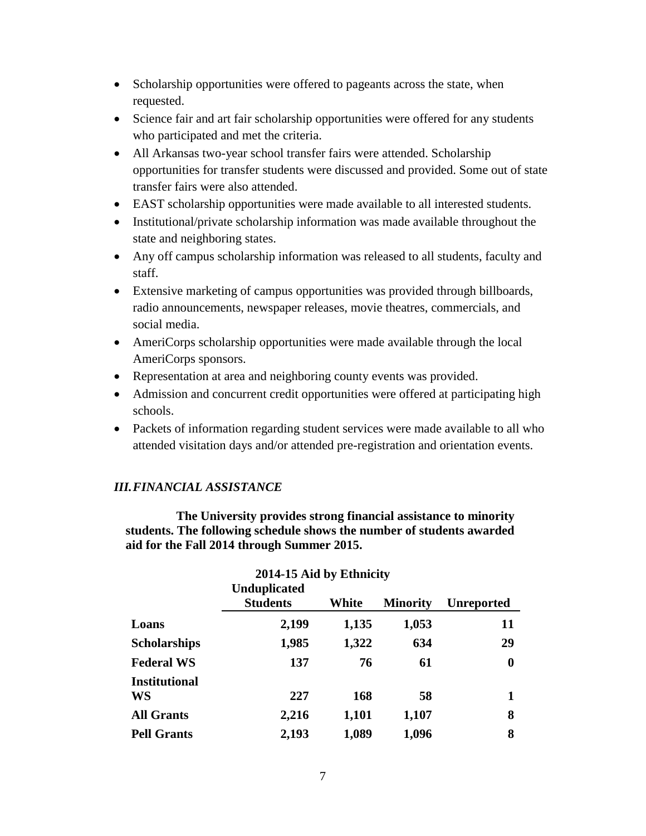- Scholarship opportunities were offered to pageants across the state, when requested.
- Science fair and art fair scholarship opportunities were offered for any students who participated and met the criteria.
- All Arkansas two-year school transfer fairs were attended. Scholarship opportunities for transfer students were discussed and provided. Some out of state transfer fairs were also attended.
- EAST scholarship opportunities were made available to all interested students.
- Institutional/private scholarship information was made available throughout the state and neighboring states.
- Any off campus scholarship information was released to all students, faculty and staff.
- Extensive marketing of campus opportunities was provided through billboards, radio announcements, newspaper releases, movie theatres, commercials, and social media.
- AmeriCorps scholarship opportunities were made available through the local AmeriCorps sponsors.
- Representation at area and neighboring county events was provided.
- Admission and concurrent credit opportunities were offered at participating high schools.
- Packets of information regarding student services were made available to all who attended visitation days and/or attended pre-registration and orientation events.

# *III.FINANCIAL ASSISTANCE*

 **The University provides strong financial assistance to minority students. The following schedule shows the number of students awarded aid for the Fall 2014 through Summer 2015.**

| 2014-15 Aid by Ethnicity   |                                        |       |                 |                   |  |  |  |  |  |
|----------------------------|----------------------------------------|-------|-----------------|-------------------|--|--|--|--|--|
|                            | <b>Unduplicated</b><br><b>Students</b> | White | <b>Minority</b> | <b>Unreported</b> |  |  |  |  |  |
| Loans                      | 2,199                                  | 1,135 | 1,053           | 11                |  |  |  |  |  |
| <b>Scholarships</b>        | 1,985                                  | 1,322 | 634             | 29                |  |  |  |  |  |
| <b>Federal WS</b>          | 137                                    | 76    | 61              | $\boldsymbol{0}$  |  |  |  |  |  |
| <b>Institutional</b><br>WS | 227                                    | 168   | 58              |                   |  |  |  |  |  |
| <b>All Grants</b>          | 2,216                                  | 1,101 | 1,107           | 8                 |  |  |  |  |  |
| <b>Pell Grants</b>         | 2,193                                  | 1,089 | 1,096           | 8                 |  |  |  |  |  |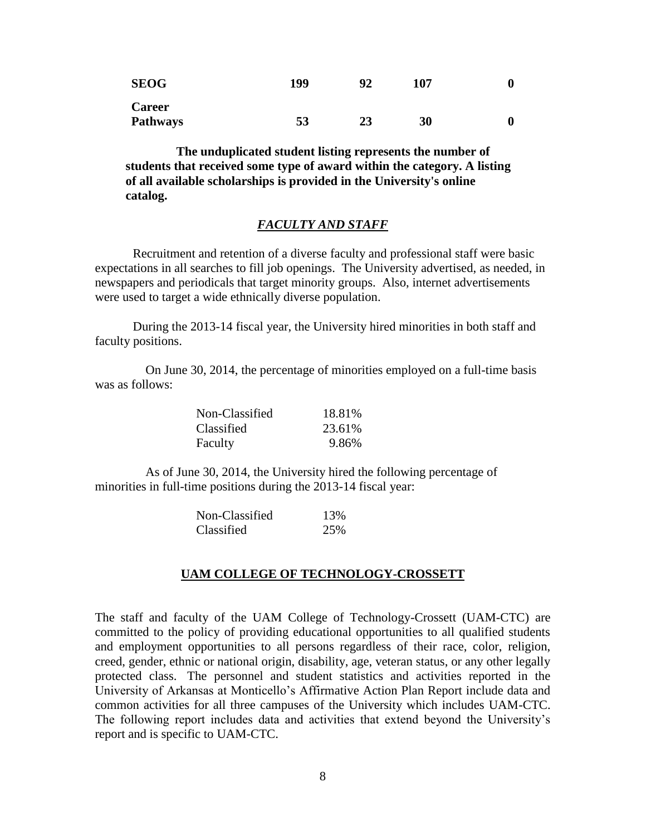| <b>SEOG</b>   | 199 |    | 107 |  |
|---------------|-----|----|-----|--|
| <b>Career</b> |     |    |     |  |
| Pathways      | 53  | 23 | 30  |  |

 **The unduplicated student listing represents the number of students that received some type of award within the category. A listing of all available scholarships is provided in the University's online catalog.**

#### *FACULTY AND STAFF*

Recruitment and retention of a diverse faculty and professional staff were basic expectations in all searches to fill job openings. The University advertised, as needed, in newspapers and periodicals that target minority groups. Also, internet advertisements were used to target a wide ethnically diverse population.

During the 2013-14 fiscal year, the University hired minorities in both staff and faculty positions.

 On June 30, 2014, the percentage of minorities employed on a full-time basis was as follows:

| Non-Classified | 18.81% |
|----------------|--------|
| Classified     | 23.61% |
| Faculty        | 9.86%  |

 As of June 30, 2014, the University hired the following percentage of minorities in full-time positions during the 2013-14 fiscal year:

| Non-Classified | 13% |
|----------------|-----|
| Classified     | 25% |

## **UAM COLLEGE OF TECHNOLOGY-CROSSETT**

The staff and faculty of the UAM College of Technology-Crossett (UAM-CTC) are committed to the policy of providing educational opportunities to all qualified students and employment opportunities to all persons regardless of their race, color, religion, creed, gender, ethnic or national origin, disability, age, veteran status, or any other legally protected class. The personnel and student statistics and activities reported in the University of Arkansas at Monticello's Affirmative Action Plan Report include data and common activities for all three campuses of the University which includes UAM-CTC. The following report includes data and activities that extend beyond the University's report and is specific to UAM-CTC.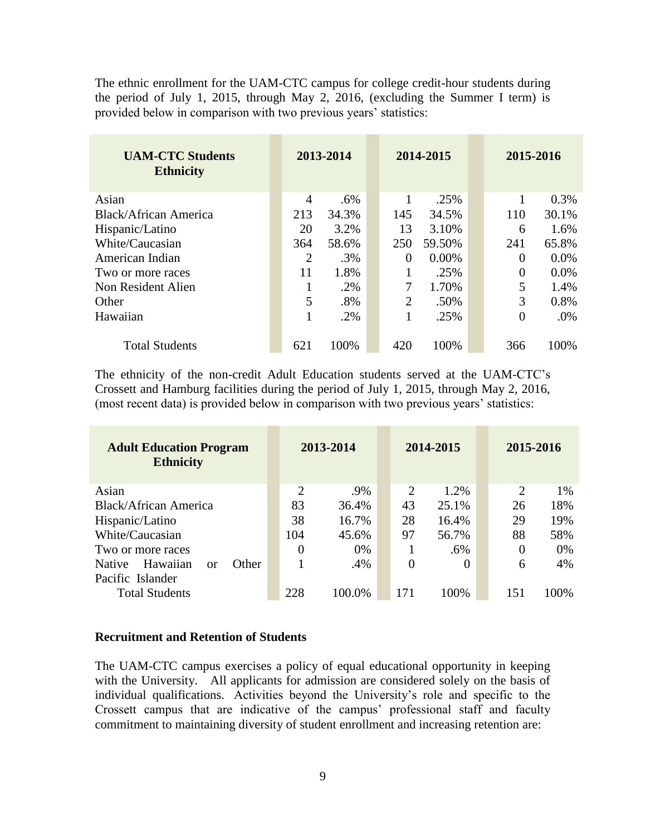The ethnic enrollment for the UAM-CTC campus for college credit-hour students during the period of July 1, 2015, through May 2, 2016, (excluding the Summer I term) is provided below in comparison with two previous years' statistics:

| <b>UAM-CTC Students</b><br><b>Ethnicity</b> |                | 2013-2014 |  | 2014-2015      |          | 2015-2016      |       |
|---------------------------------------------|----------------|-----------|--|----------------|----------|----------------|-------|
| Asian                                       | 4              | $.6\%$    |  |                | .25%     |                | 0.3%  |
| Black/African America                       | 213            | 34.3%     |  | 145            | 34.5%    | 110            | 30.1% |
| Hispanic/Latino                             | 20             | 3.2%      |  | 13             | 3.10%    | 6              | 1.6%  |
| White/Caucasian                             | 364            | 58.6%     |  | 250            | 59.50%   | 241            | 65.8% |
| American Indian                             | $\overline{2}$ | .3%       |  | $\theta$       | $0.00\%$ | $\Omega$       | 0.0%  |
| Two or more races                           | 11             | 1.8%      |  |                | .25%     | $\overline{0}$ | 0.0%  |
| Non Resident Alien                          |                | .2%       |  | 7              | 1.70%    | 5              | 1.4%  |
| Other                                       | 5              | .8%       |  | $\overline{2}$ | .50%     | 3              | 0.8%  |
| Hawaiian                                    |                | .2%       |  |                | .25%     | $\theta$       | .0%   |
| <b>Total Students</b>                       | 621            | 100%      |  | 420            | 100%     | 366            | 100%  |

The ethnicity of the non-credit Adult Education students served at the UAM-CTC's Crossett and Hamburg facilities during the period of July 1, 2015, through May 2, 2016, (most recent data) is provided below in comparison with two previous years' statistics:

| <b>Adult Education Program</b><br><b>Ethnicity</b> |     | 2013-2014      |        |                | 2014-2015 | 2015-2016      |       |
|----------------------------------------------------|-----|----------------|--------|----------------|-----------|----------------|-------|
| Asian                                              |     | $\overline{2}$ | .9%    | $\overline{2}$ | 1.2%      | $\overline{2}$ | 1%    |
| Black/African America                              |     | 83             | 36.4%  | 43             | 25.1%     | 26             | 18%   |
| Hispanic/Latino                                    |     | 38             | 16.7%  | 28             | 16.4%     | 29             | 19%   |
| White/Caucasian                                    | 104 |                | 45.6%  | 97             | 56.7%     | 88             | 58%   |
| Two or more races                                  |     | $\overline{0}$ | $0\%$  |                | $.6\%$    | 0              | 0%    |
| Hawaiian<br>Other<br><b>Native</b><br>or           |     |                | .4%    | 0              | $\Omega$  | 6              | 4%    |
| Pacific Islander<br><b>Total Students</b>          | 228 |                | 100.0% | 171            | 100%      | 151            | 100\% |

#### **Recruitment and Retention of Students**

The UAM-CTC campus exercises a policy of equal educational opportunity in keeping with the University. All applicants for admission are considered solely on the basis of individual qualifications. Activities beyond the University's role and specific to the Crossett campus that are indicative of the campus' professional staff and faculty commitment to maintaining diversity of student enrollment and increasing retention are: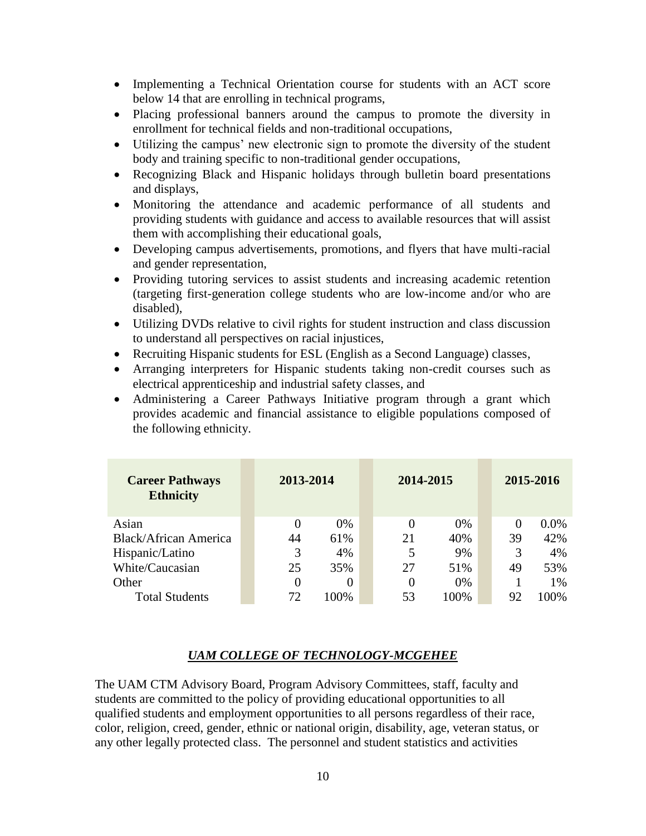- Implementing a Technical Orientation course for students with an ACT score below 14 that are enrolling in technical programs,
- Placing professional banners around the campus to promote the diversity in enrollment for technical fields and non-traditional occupations,
- Utilizing the campus' new electronic sign to promote the diversity of the student body and training specific to non-traditional gender occupations,
- Recognizing Black and Hispanic holidays through bulletin board presentations and displays,
- Monitoring the attendance and academic performance of all students and providing students with guidance and access to available resources that will assist them with accomplishing their educational goals,
- Developing campus advertisements, promotions, and flyers that have multi-racial and gender representation,
- Providing tutoring services to assist students and increasing academic retention (targeting first-generation college students who are low-income and/or who are disabled),
- Utilizing DVDs relative to civil rights for student instruction and class discussion to understand all perspectives on racial injustices,
- Recruiting Hispanic students for ESL (English as a Second Language) classes,
- Arranging interpreters for Hispanic students taking non-credit courses such as electrical apprenticeship and industrial safety classes, and
- Administering a Career Pathways Initiative program through a grant which provides academic and financial assistance to eligible populations composed of the following ethnicity.

| <b>Career Pathways</b><br><b>Ethnicity</b> | 2013-2014 |       | 2014-2015 |       |          | 2015-2016 |
|--------------------------------------------|-----------|-------|-----------|-------|----------|-----------|
| Asian                                      | 0         | $0\%$ |           | $0\%$ | $\Omega$ | $0.0\%$   |
| <b>Black/African America</b>               | 44        | 61%   | 21        | 40%   | 39       | 42%       |
| Hispanic/Latino                            | 3         | 4%    | 5         | 9%    | 3        | 4%        |
| White/Caucasian                            | 25        | 35%   | 27        | 51%   | 49       | 53%       |
| Other                                      | 0         |       | 0         | $0\%$ |          | $1\%$     |
| <b>Total Students</b>                      | 72        | 100%  | 53        | 100%  | 92       | 100%      |

# *UAM COLLEGE OF TECHNOLOGY-MCGEHEE*

The UAM CTM Advisory Board, Program Advisory Committees, staff, faculty and students are committed to the policy of providing educational opportunities to all qualified students and employment opportunities to all persons regardless of their race, color, religion, creed, gender, ethnic or national origin, disability, age, veteran status, or any other legally protected class. The personnel and student statistics and activities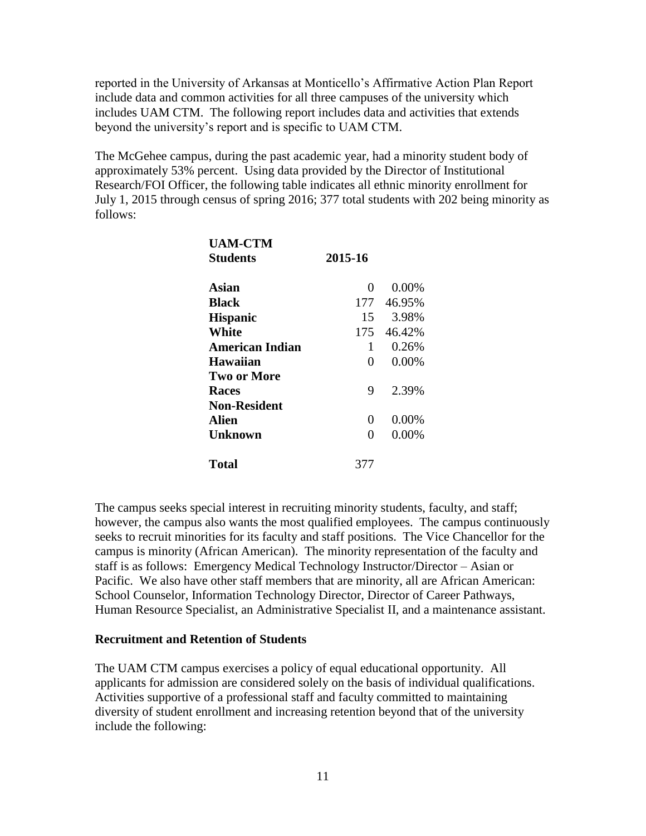reported in the University of Arkansas at Monticello's Affirmative Action Plan Report include data and common activities for all three campuses of the university which includes UAM CTM. The following report includes data and activities that extends beyond the university's report and is specific to UAM CTM.

The McGehee campus, during the past academic year, had a minority student body of approximately 53% percent. Using data provided by the Director of Institutional Research/FOI Officer, the following table indicates all ethnic minority enrollment for July 1, 2015 through census of spring 2016; 377 total students with 202 being minority as follows:

| <b>UAM-CTM</b>         |         |            |
|------------------------|---------|------------|
| <b>Students</b>        | 2015-16 |            |
| Asian                  | 0       | 0.00%      |
| <b>Black</b>           | 177     | 46.95%     |
| <b>Hispanic</b>        | 15      | 3.98%      |
| <b>White</b>           |         | 175 46.42% |
| <b>American Indian</b> | 1       | 0.26%      |
| <b>Hawaiian</b>        | 0       | 0.00%      |
| <b>Two or More</b>     |         |            |
| <b>Races</b>           | 9       | 2.39%      |
| <b>Non-Resident</b>    |         |            |
| Alien                  | 0       | 0.00%      |
| <b>Unknown</b>         | 0       | 0.00%      |
| <b>Total</b>           | 377     |            |

The campus seeks special interest in recruiting minority students, faculty, and staff; however, the campus also wants the most qualified employees. The campus continuously seeks to recruit minorities for its faculty and staff positions. The Vice Chancellor for the campus is minority (African American). The minority representation of the faculty and staff is as follows: Emergency Medical Technology Instructor/Director – Asian or Pacific. We also have other staff members that are minority, all are African American: School Counselor, Information Technology Director, Director of Career Pathways, Human Resource Specialist, an Administrative Specialist II, and a maintenance assistant.

#### **Recruitment and Retention of Students**

The UAM CTM campus exercises a policy of equal educational opportunity. All applicants for admission are considered solely on the basis of individual qualifications. Activities supportive of a professional staff and faculty committed to maintaining diversity of student enrollment and increasing retention beyond that of the university include the following: